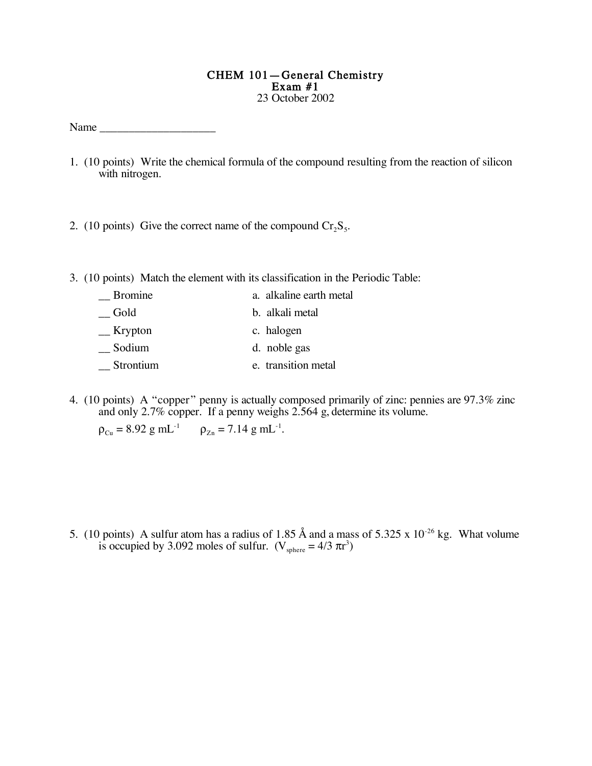## CHEM 101—General Chemistry Exam #1 23 October 2002

Name  $\Box$ 

- 1. (10 points) Write the chemical formula of the compound resulting from the reaction of silicon with nitrogen.
- 2. (10 points) Give the correct name of the compound  $Cr_2S_5$ .
- 3. (10 points) Match the element with its classification in the Periodic Table:

| <b>Bromine</b> | a. alkaline earth metal |
|----------------|-------------------------|
| Gold           | b. alkali metal         |
| $K$ rypton     | c. halogen              |
| Sodium         | d. noble gas            |
| Strontium      | e. transition metal     |

4. (10 points) A "copper" penny is actually composed primarily of zinc: pennies are 97.3% zinc and only 2.7% copper. If a penny weighs 2.564 g, determine its volume.

 $\rho_{Cu} = 8.92 \text{ g m}L^{-1}$   $\rho_{Zn} = 7.14 \text{ g m}L^{-1}.$ 

5. (10 points) A sulfur atom has a radius of 1.85 Å and a mass of 5.325 x  $10^{-26}$  kg. What volume is occupied by 3.092 moles of sulfur.  $(V_{\text{sphere}} = 4/3 \pi r^3)$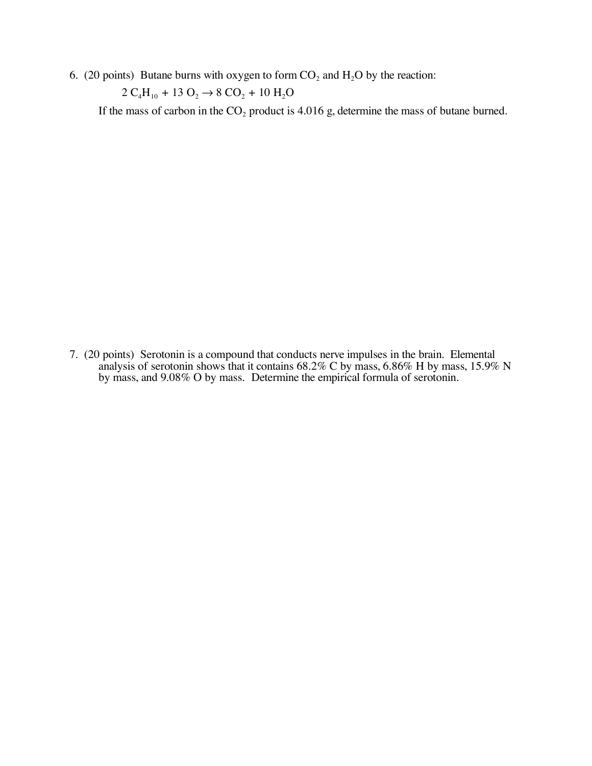6. (20 points) Butane burns with oxygen to form  $CO<sub>2</sub>$  and  $H<sub>2</sub>O$  by the reaction:

 $2$   $\rm C_4H_{10}$  + 13  $\rm O_2$   $\rightarrow$  8  $\rm CO_2$  + 10  $\rm H_2O$ 

If the mass of carbon in the  $CO<sub>2</sub>$  product is 4.016 g, determine the mass of butane burned.

7. (20 points) Serotonin is a compound that conducts nerve impulses in the brain. Elemental analysis of serotonin shows that it contains 68.2% C by mass, 6.86% H by mass, 15.9% N by mass, and 9.08% O by mass. Determine the empirical formula of serotonin.